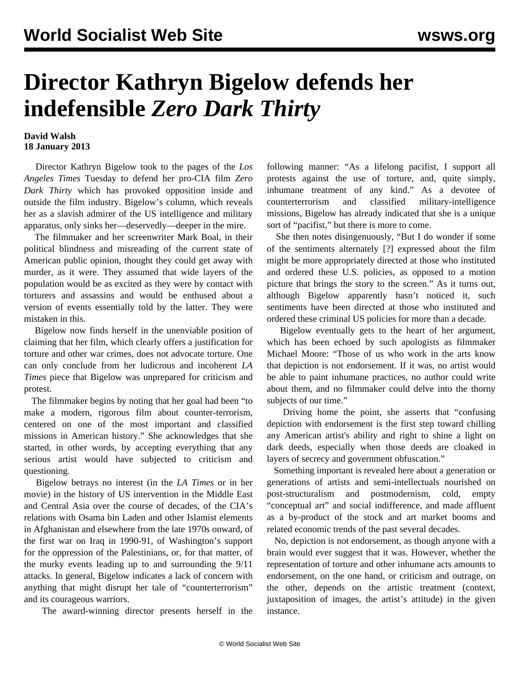## **Director Kathryn Bigelow defends her indefensible** *Zero Dark Thirty*

## **David Walsh 18 January 2013**

 Director Kathryn Bigelow took to the pages of the *Los Angeles Times* Tuesday to defend her [pro-CIA film](/en/articles/2012/12/20/dark-d20.html) *Zero Dark Thirty* which has provoked opposition inside and outside the film industry. Bigelow's column, which reveals her as a slavish admirer of the US intelligence and military apparatus, only sinks her—deservedly—deeper in the mire.

 The filmmaker and her screenwriter Mark Boal, in their political blindness and misreading of the current state of American public opinion, thought they could get away with murder, as it were. They assumed that wide layers of the population would be as excited as they were by contact with torturers and assassins and would be enthused about a version of events essentially told by the latter. They were mistaken in this.

 Bigelow now finds herself in the unenviable position of claiming that her film, which clearly offers a justification for torture and other war crimes, does not advocate torture. One can only conclude from her ludicrous and incoherent *LA Times* piece that Bigelow was unprepared for criticism and protest.

 The filmmaker begins by noting that her goal had been "to make a modern, rigorous film about counter-terrorism, centered on one of the most important and classified missions in American history." She acknowledges that she started, in other words, by accepting everything that any serious artist would have subjected to criticism and questioning.

 Bigelow betrays no interest (in the *LA Times* or in her movie) in the history of US intervention in the Middle East and Central Asia over the course of decades, of the CIA's relations with Osama bin Laden and other Islamist elements in Afghanistan and elsewhere from the late 1970s onward, of the first war on Iraq in 1990-91, of Washington's support for the oppression of the Palestinians, or, for that matter, of the murky events leading up to and surrounding the 9/11 attacks. In general, Bigelow indicates a lack of concern with anything that might disrupt her tale of "counterterrorism" and its courageous warriors.

The award-winning director presents herself in the

following manner: "As a lifelong pacifist, I support all protests against the use of torture, and, quite simply, inhumane treatment of any kind." As a devotee of counterterrorism and classified military-intelligence missions, Bigelow has already indicated that she is a unique sort of "pacifist," but there is more to come.

 She then notes disingenuously, "But I do wonder if some of the sentiments alternately [?] expressed about the film might be more appropriately directed at those who instituted and ordered these U.S. policies, as opposed to a motion picture that brings the story to the screen." As it turns out, although Bigelow apparently hasn't noticed it, such sentiments have been directed at those who instituted and ordered these criminal US policies for more than a decade.

 Bigelow eventually gets to the heart of her argument, which has been echoed by such apologists as filmmaker Michael Moore: "Those of us who work in the arts know that depiction is not endorsement. If it was, no artist would be able to paint inhumane practices, no author could write about them, and no filmmaker could delve into the thorny subjects of our time."

 Driving home the point, she asserts that "confusing depiction with endorsement is the first step toward chilling any American artist's ability and right to shine a light on dark deeds, especially when those deeds are cloaked in layers of secrecy and government obfuscation."

 Something important is revealed here about a generation or generations of artists and semi-intellectuals nourished on post-structuralism and postmodernism, cold, empty "conceptual art" and social indifference, and made affluent as a by-product of the stock and art market booms and related economic trends of the past several decades.

 No, depiction is not endorsement, as though anyone with a brain would ever suggest that it was. However, whether the representation of torture and other inhumane acts amounts to endorsement, on the one hand, or criticism and outrage, on the other, depends on the artistic treatment (context, juxtaposition of images, the artist's attitude) in the given instance.